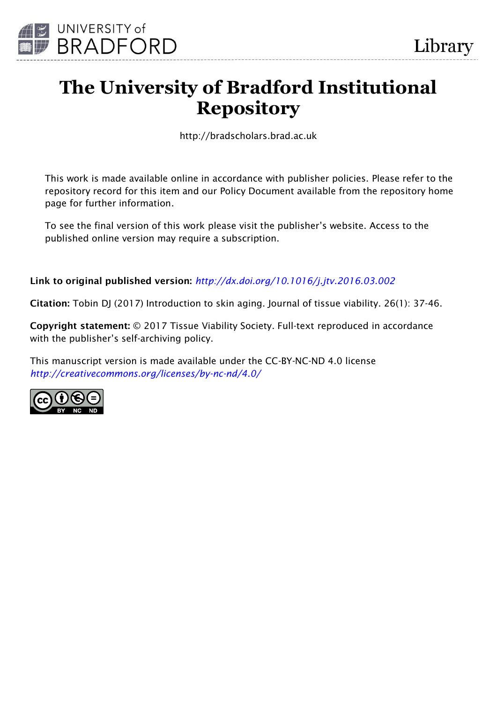

# **The University of Bradford Institutional Repository**

http://bradscholars.brad.ac.uk

This work is made available online in accordance with publisher policies. Please refer to the repository record for this item and our Policy Document available from the repository home page for further information.

To see the final version of this work please visit the publisher's website. Access to the published online version may require a subscription.

**Link to original published version:** *<http://dx.doi.org/10.1016/j.jtv.2016.03.002>*

**Citation:** Tobin DJ (2017) Introduction to skin aging. Journal of tissue viability. 26(1): 37-46.

**Copyright statement:** © 2017 Tissue Viability Society. Full-text reproduced in accordance with the publisher's self-archiving policy.

This manuscript version is made available under the CC-BY-NC-ND 4.0 license *<http://creativecommons.org/licenses/by-nc-nd/4.0/>*

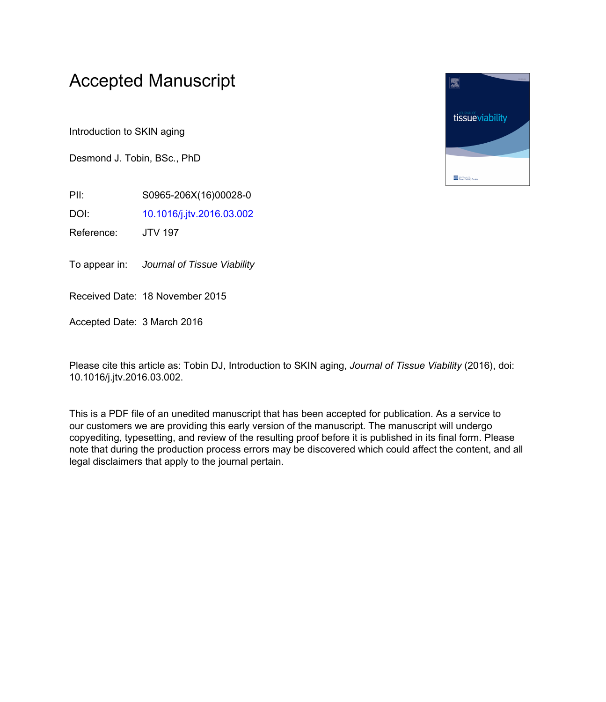## Accepted Manuscript

Introduction to SKIN aging

Desmond J. Tobin, BSc., PhD

PII: S0965-206X(16)00028-0

DOI: [10.1016/j.jtv.2016.03.002](http://dx.doi.org/10.1016/j.jtv.2016.03.002)

Reference: JTV 197

To appear in: Journal of Tissue Viability

Received Date: 18 November 2015

Accepted Date: 3 March 2016

Please cite this article as: Tobin DJ, Introduction to SKIN aging, *Journal of Tissue Viability* (2016), doi: 10.1016/j.jtv.2016.03.002.

This is a PDF file of an unedited manuscript that has been accepted for publication. As a service to our customers we are providing this early version of the manuscript. The manuscript will undergo copyediting, typesetting, and review of the resulting proof before it is published in its final form. Please note that during the production process errors may be discovered which could affect the content, and all legal disclaimers that apply to the journal pertain.

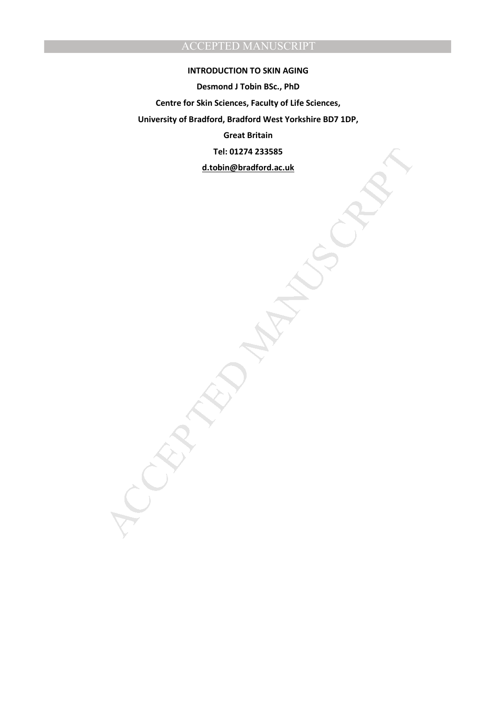#### **INTRODUCTION TO SKIN AGING**

**Desmond J Tobin BSc., PhD** 

**Centre for Skin Sciences, Faculty of Life Sciences,** 

**University of Bradford, Bradford West Yorkshire BD7 1DP,** 

**Great Britain** 

**Tel: 01274 233585** 

Tel: 01274 233585<br>d.tobin@bradford.ac.uk<br>(XXX) **d.tobin@bradford.ac.uk**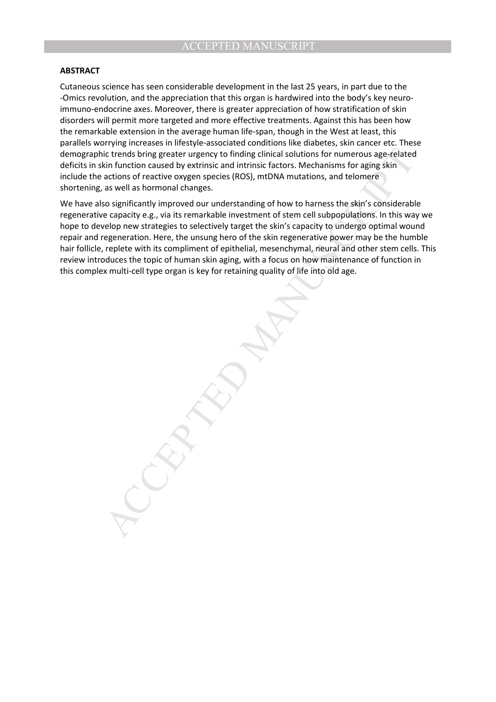#### **ABSTRACT**

Cutaneous science has seen considerable development in the last 25 years, in part due to the -Omics revolution, and the appreciation that this organ is hardwired into the body's key neuroimmuno-endocrine axes. Moreover, there is greater appreciation of how stratification of skin disorders will permit more targeted and more effective treatments. Against this has been how the remarkable extension in the average human life-span, though in the West at least, this parallels worrying increases in lifestyle-associated conditions like diabetes, skin cancer etc. These demographic trends bring greater urgency to finding clinical solutions for numerous age-related deficits in skin function caused by extrinsic and intrinsic factors. Mechanisms for aging skin include the actions of reactive oxygen species (ROS), mtDNA mutations, and telomere shortening, as well as hormonal changes.

We have also significantly improved our understanding of how to harness the skin's considerable regenerative capacity e.g., via its remarkable investment of stem cell subpopulations. In this way we hope to develop new strategies to selectively target the skin's capacity to undergo optimal wound repair and regeneration. Here, the unsung hero of the skin regenerative power may be the humble hair follicle, replete with its compliment of epithelial, mesenchymal, neural and other stem cells. This review introduces the topic of human skin aging, with a focus on how maintenance of function in this complex multi-cell type organ is key for retaining quality of life into old age.

ic trends bring greater urgency to finding clinical solutions for numerous age-related<br>with duritor caused by extrinst and intitrinst factors. Mechanisms for aging skin<br>actions of reactive oxygen species (ROS), mtDNA mutat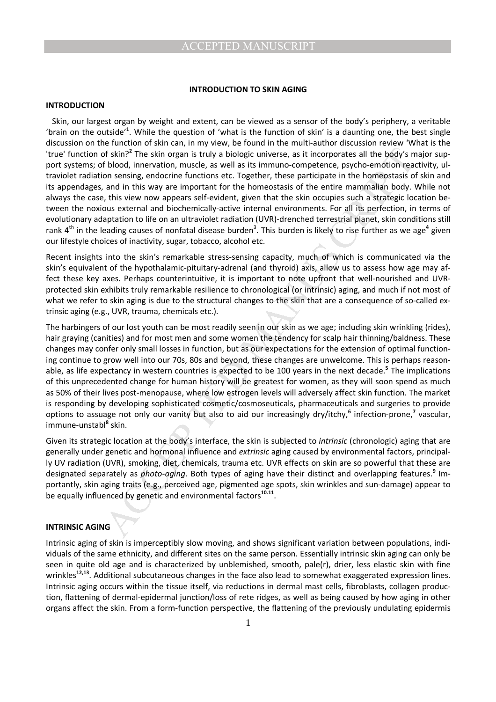#### **INTRODUCTION TO SKIN AGING**

#### **INTRODUCTION**

 Skin, our largest organ by weight and extent, can be viewed as a sensor of the body's periphery, a veritable 'brain on the outside'**<sup>1</sup>** . While the question of 'what is the function of skin' is a daunting one, the best single discussion on the function of skin can, in my view, be found in the multi-author discussion review 'What is the 'true' function of skin?<sup>2</sup> The skin organ is truly a biologic universe, as it incorporates all the body's major support systems; of blood, innervation, muscle, as well as its immuno-competence, psycho-emotion reactivity, ultraviolet radiation sensing, endocrine functions etc. Together, these participate in the homeostasis of skin and its appendages, and in this way are important for the homeostasis of the entire mammalian body. While not always the case, this view now appears self-evident, given that the skin occupies such a strategic location between the noxious external and biochemically-active internal environments. For all its perfection, in terms of evolutionary adaptation to life on an ultraviolet radiation (UVR)-drenched terrestrial planet, skin conditions still rank 4<sup>th</sup> in the leading causes of nonfatal disease burden<sup>3</sup>. This burden is likely to rise further as we age<sup>4</sup> given our lifestyle choices of inactivity, sugar, tobacco, alcohol etc.

Recent insights into the skin's remarkable stress-sensing capacity, much of which is communicated via the skin's equivalent of the hypothalamic-pituitary-adrenal (and thyroid) axis, allow us to assess how age may affect these key axes. Perhaps counterintuitive, it is important to note upfront that well-nourished and UVRprotected skin exhibits truly remarkable resilience to chronological (or intrinsic) aging, and much if not most of what we refer to skin aging is due to the structural changes to the skin that are a consequence of so-called extrinsic aging (e.g., UVR, trauma, chemicals etc.).

of skin?<sup>2</sup> The skin organ is truly a biologic universe, as it incorporates all the body's m<br>blood, innevation, muscle, as well as its immuno-competence, psycho-e-motion reason<br>on sensing, endocrine functions etc. Together The harbingers of our lost youth can be most readily seen in our skin as we age; including skin wrinkling (rides), hair graying (canities) and for most men and some women the tendency for scalp hair thinning/baldness. These changes may confer only small losses in function, but as our expectations for the extension of optimal functioning continue to grow well into our 70s, 80s and beyond, these changes are unwelcome. This is perhaps reasonable, as life expectancy in western countries is expected to be 100 years in the next decade.**<sup>5</sup>** The implications of this unprecedented change for human history will be greatest for women, as they will soon spend as much as 50% of their lives post-menopause, where low estrogen levels will adversely affect skin function. The market is responding by developing sophisticated cosmetic/cosmoseuticals, pharmaceuticals and surgeries to provide options to assuage not only our vanity but also to aid our increasingly dry/itchy,<sup>6</sup> infection-prone,<sup>7</sup> vascular, immune-unstabl<sup>8</sup> skin.

Given its strategic location at the body's interface, the skin is subjected to *intrinsic* (chronologic) aging that are generally under genetic and hormonal influence and *extrinsic* aging caused by environmental factors, principally UV radiation (UVR), smoking, diet, chemicals, trauma etc. UVR effects on skin are so powerful that these are designated separately as *photo-aging*. Both types of aging have their distinct and overlapping features.**<sup>9</sup>** Importantly, skin aging traits (e.g., perceived age, pigmented age spots, skin wrinkles and sun-damage) appear to be equally influenced by genetic and environmental factors<sup>10.11</sup>.

#### **INTRINSIC AGING**

Intrinsic aging of skin is imperceptibly slow moving, and shows significant variation between populations, individuals of the same ethnicity, and different sites on the same person. Essentially intrinsic skin aging can only be seen in quite old age and is characterized by unblemished, smooth, pale(r), drier, less elastic skin with fine wrinkles<sup>12,13</sup>. Additional subcutaneous changes in the face also lead to somewhat exaggerated expression lines. Intrinsic aging occurs within the tissue itself, via reductions in dermal mast cells, fibroblasts, collagen production, flattening of dermal-epidermal junction/loss of rete ridges, as well as being caused by how aging in other organs affect the skin. From a form-function perspective, the flattening of the previously undulating epidermis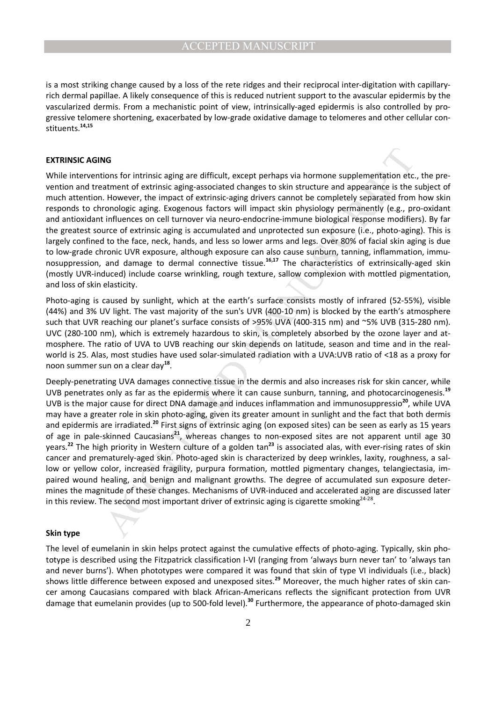is a most striking change caused by a loss of the rete ridges and their reciprocal inter-digitation with capillaryrich dermal papillae. A likely consequence of this is reduced nutrient support to the avascular epidermis by the vascularized dermis. From a mechanistic point of view, intrinsically-aged epidermis is also controlled by progressive telomere shortening, exacerbated by low-grade oxidative damage to telomeres and other cellular constituents.**14,15**

#### **EXTRINSIC AGING**

While interventions for intrinsic aging are difficult, except perhaps via hormone supplementation etc., the prevention and treatment of extrinsic aging-associated changes to skin structure and appearance is the subject of much attention. However, the impact of extrinsic-aging drivers cannot be completely separated from how skin responds to chronologic aging. Exogenous factors will impact skin physiology permanently (e.g., pro-oxidant and antioxidant influences on cell turnover via neuro-endocrine-immune biological response modifiers). By far the greatest source of extrinsic aging is accumulated and unprotected sun exposure (i.e., photo-aging). This is largely confined to the face, neck, hands, and less so lower arms and legs. Over 80% of facial skin aging is due to low-grade chronic UVR exposure, although exposure can also cause sunburn, tanning, inflammation, immunosuppression, and damage to dermal connective tissue.**16,17** The characteristics of extrinsically-aged skin (mostly UVR-induced) include coarse wrinkling, rough texture, sallow complexion with mottled pigmentation, and loss of skin elasticity.

Photo-aging is caused by sunlight, which at the earth's surface consists mostly of infrared (52-55%), visible (44%) and 3% UV light. The vast majority of the sun's UVR (400-10 nm) is blocked by the earth's atmosphere such that UVR reaching our planet's surface consists of >95% UVA (400-315 nm) and ~5% UVB (315-280 nm). UVC (280-100 nm), which is extremely hazardous to skin, is completely absorbed by the ozone layer and atmosphere. The ratio of UVA to UVB reaching our skin depends on latitude, season and time and in the realworld is 25. Alas, most studies have used solar-simulated radiation with a UVA:UVB ratio of <18 as a proxy for noon summer sun on a clear day**<sup>18</sup>** .

**NG**<br> **NG**<br> **NG**<br> **NOMENTATIST CONFIGNE aging are difficult, except perhaps via hormone supplementation etc.<br>
<b>However, the impact of extrinsic-aging drivers cannot be completely separated from<br>
<b>However, the impact of ex** Deeply-penetrating UVA damages connective tissue in the dermis and also increases risk for skin cancer, while UVB penetrates only as far as the epidermis where it can cause sunburn, tanning, and photocarcinogenesis.**<sup>19</sup>** UVB is the major cause for direct DNA damage and induces inflammation and immunosuppressio**<sup>20</sup>**, while UVA may have a greater role in skin photo-aging, given its greater amount in sunlight and the fact that both dermis and epidermis are irradiated.**<sup>20</sup>** First signs of extrinsic aging (on exposed sites) can be seen as early as 15 years of age in pale-skinned Caucasians**<sup>21</sup>**, whereas changes to non-exposed sites are not apparent until age 30 years.<sup>22</sup> The high priority in Western culture of a golden tan<sup>23</sup> is associated alas, with ever-rising rates of skin cancer and prematurely-aged skin. Photo-aged skin is characterized by deep wrinkles, laxity, roughness, a sallow or yellow color, increased fragility, purpura formation, mottled pigmentary changes, telangiectasia, impaired wound healing, and benign and malignant growths. The degree of accumulated sun exposure determines the magnitude of these changes. Mechanisms of UVR-induced and accelerated aging are discussed later in this review. The second most important driver of extrinsic aging is cigarette smoking<sup>24-28</sup>.

#### **Skin type**

The level of eumelanin in skin helps protect against the cumulative effects of photo-aging. Typically, skin phototype is described using the Fitzpatrick classification I-VI (ranging from 'always burn never tan' to 'always tan and never burns'). When phototypes were compared it was found that skin of type VI individuals (i.e., black) shows little difference between exposed and unexposed sites.**<sup>29</sup>** Moreover, the much higher rates of skin cancer among Caucasians compared with black African-Americans reflects the significant protection from UVR damage that eumelanin provides (up to 500-fold level).**<sup>30</sup>** Furthermore, the appearance of photo-damaged skin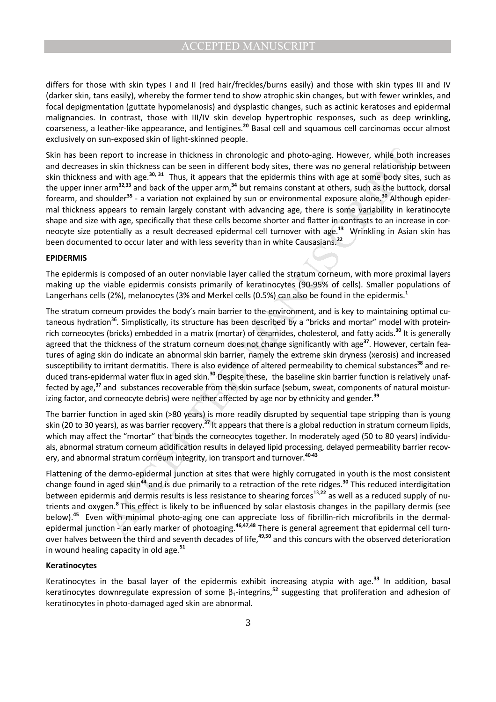differs for those with skin types I and II (red hair/freckles/burns easily) and those with skin types III and IV (darker skin, tans easily), whereby the former tend to show atrophic skin changes, but with fewer wrinkles, and focal depigmentation (guttate hypomelanosis) and dysplastic changes, such as actinic keratoses and epidermal malignancies. In contrast, those with III/IV skin develop hypertrophic responses, such as deep wrinkling, coarseness, a leather-like appearance, and lentigines. **<sup>20</sup>** Basal cell and squamous cell carcinomas occur almost exclusively on sun-exposed skin of light-skinned people.

Skin has been report to increase in thickness in chronologic and photo-aging. However, while both increases and decreases in skin thickness can be seen in different body sites, there was no general relationship between skin thickness and with age.**30, 31** Thus, it appears that the epidermis thins with age at some body sites, such as the upper inner arm**<sup>32</sup>**,**<sup>33</sup>** and back of the upper arm,**<sup>34</sup>** but remains constant at others, such as the buttock, dorsal forearm, and shoulder**<sup>35</sup>** - a variation not explained by sun or environmental exposure alone.**<sup>30</sup>** Although epidermal thickness appears to remain largely constant with advancing age, there is some variability in keratinocyte shape and size with age, specifically that these cells become shorter and flatter in contrasts to an increase in corneocyte size potentially as a result decreased epidermal cell turnover with age.**<sup>13</sup>** Wrinkling in Asian skin has been documented to occur later and with less severity than in white Causasians.**<sup>22</sup>**

#### **EPIDERMIS**

The epidermis is composed of an outer nonviable layer called the stratum corneum, with more proximal layers making up the viable epidermis consists primarily of keratinocytes (90-95% of cells). Smaller populations of Langerhans cells (2%), melanocytes (3% and Merkel cells (0.5%) can also be found in the epidermis.**<sup>1</sup>**

eport to increase in thickness in chronologic and photo-aging. However, while both<br>n skin thickness can be seen in different body sites, there was no general relationships<br>of thickness can be seen in different body sites, The stratum corneum provides the body's main barrier to the environment, and is key to maintaining optimal cutaneous hydration<sup>36</sup>. Simplistically, its structure has been described by a "bricks and mortar" model with proteinrich corneocytes (bricks) embedded in a matrix (mortar) of ceramides, cholesterol, and fatty acids.**<sup>30</sup>** It is generally agreed that the thickness of the stratum corneum does not change significantly with age**<sup>37</sup>**. However, certain features of aging skin do indicate an abnormal skin barrier, namely the extreme skin dryness (xerosis) and increased susceptibility to irritant dermatitis. There is also evidence of altered permeability to chemical substances**<sup>38</sup>** and reduced trans-epidermal water flux in aged skin.**<sup>30</sup>** Despite these, the baseline skin barrier function is relatively unaffected by age,**<sup>37</sup>** and substances recoverable from the skin surface (sebum, sweat, components of natural moisturizing factor, and corneocyte debris) were neither affected by age nor by ethnicity and gender.**<sup>39</sup>**

The barrier function in aged skin (>80 years) is more readily disrupted by sequential tape stripping than is young skin (20 to 30 years), as was barrier recovery.**<sup>37</sup>** It appears that there is a global reduction in stratum corneum lipids, which may affect the "mortar" that binds the corneocytes together. In moderately aged (50 to 80 years) individuals, abnormal stratum corneum acidification results in delayed lipid processing, delayed permeability barrier recovery, and abnormal stratum corneum integrity, ion transport and turnover.**40-43**

Flattening of the dermo-epidermal junction at sites that were highly corrugated in youth is the most consistent change found in aged skin**<sup>44</sup>** and is due primarily to a retraction of the rete ridges.**<sup>30</sup>** This reduced interdigitation between epidermis and dermis results is less resistance to shearing forces<sup>13,22</sup> as well as a reduced supply of nutrients and oxygen.**<sup>8</sup>** This effect is likely to be influenced by solar elastosis changes in the papillary dermis (see below).**<sup>45</sup>** Even with minimal photo-aging one can appreciate loss of fibrillin-rich microfibrils in the dermalepidermal junction - an early marker of photoaging.**46,47,48** There is general agreement that epidermal cell turnover halves between the third and seventh decades of life,**<sup>49</sup>**,**<sup>50</sup>** and this concurs with the observed deterioration in wound healing capacity in old age.**<sup>51</sup>**

#### **Keratinocytes**

Keratinocytes in the basal layer of the epidermis exhibit increasing atypia with age.**<sup>33</sup>** In addition, basal keratinocytes downregulate expression of some β<sub>1</sub>-integrins,<sup>52</sup> suggesting that proliferation and adhesion of keratinocytes in photo-damaged aged skin are abnormal.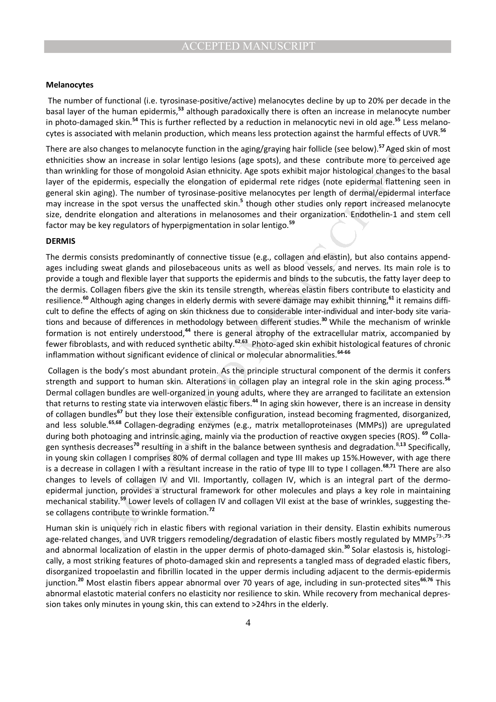#### **Melanocytes**

 The number of functional (i.e. tyrosinase-positive/active) melanocytes decline by up to 20% per decade in the basal layer of the human epidermis,**<sup>53</sup>** although paradoxically there is often an increase in melanocyte number in photo-damaged skin.**<sup>54</sup>** This is further reflected by a reduction in melanocytic nevi in old age.**<sup>55</sup>** Less melanocytes is associated with melanin production, which means less protection against the harmful effects of UVR.**<sup>56</sup>**

There are also changes to melanocyte function in the aging/graying hair follicle (see below).**<sup>57</sup>**Aged skin of most ethnicities show an increase in solar lentigo lesions (age spots), and these contribute more to perceived age than wrinkling for those of mongoloid Asian ethnicity. Age spots exhibit major histological changes to the basal layer of the epidermis, especially the elongation of epidermal rete ridges (note epidermal flattening seen in general skin aging). The number of tyrosinase-positive melanocytes per length of dermal/epidermal interface may increase in the spot versus the unaffected skin.**<sup>5</sup>** though other studies only report increased melanocyte size, dendrite elongation and alterations in melanosomes and their organization. Endothelin-1 and stem cell factor may be key regulators of hyperpigmentation in solar lentigo.**<sup>59</sup>**

#### **DERMIS**

The dermis consists predominantly of connective tissue (e.g., collagen and elastin), but also contains appendages including sweat glands and pilosebaceous units as well as blood vessels, and nerves. Its main role is to provide a tough and flexible layer that supports the epidermis and binds to the subcutis, the fatty layer deep to the dermis. Collagen fibers give the skin its tensile strength, whereas elastin fibers contribute to elasticity and resilience.**<sup>60</sup>**Although aging changes in elderly dermis with severe damage may exhibit thinning,**<sup>61</sup>** it remains difficult to define the effects of aging on skin thickness due to considerable inter-individual and inter-body site variations and because of differences in methodology between different studies.**<sup>30</sup>**While the mechanism of wrinkle formation is not entirely understood,**<sup>44</sup>** there is general atrophy of the extracellular matrix, accompanied by fewer fibroblasts, and with reduced synthetic abilty. **<sup>62</sup>**,**<sup>63</sup>** Photo-aged skin exhibit histological features of chronic inflammation without significant evidence of clinical or molecular abnormalities.**64-66**

Thanges to melanocyte function in the aging graying hair follicle (see below),<sup>21</sup> aged skin contribute increase in solar lentogo lesions (age spots exhibit major histological changes to or those of mongoloid Asian ethnici Collagen is the body's most abundant protein. As the principle structural component of the dermis it confers strength and support to human skin. Alterations in collagen play an integral role in the skin aging process.**<sup>56</sup>** Dermal collagen bundles are well-organized in young adults, where they are arranged to facilitate an extension that returns to resting state via interwoven elastic fibers.**<sup>44</sup>** In aging skin however, there is an increase in density of collagen bundles**<sup>67</sup>** but they lose their extensible configuration, instead becoming fragmented, disorganized, and less soluble.**<sup>65</sup>**,**<sup>68</sup>**Collagen-degrading enzymes (e.g., matrix metalloproteinases (MMPs)) are upregulated during both photoaging and intrinsic aging, mainly via the production of reactive oxygen species (ROS). **<sup>69</sup>** Collagen synthesis decreases**<sup>70</sup>** resulting in a shift in the balance between synthesis and degradation.8,**<sup>13</sup>** Specifically, in young skin collagen I comprises 80% of dermal collagen and type III makes up 15%.However, with age there is a decrease in collagen I with a resultant increase in the ratio of type III to type I collagen.**<sup>68</sup>**,**<sup>71</sup>** There are also changes to levels of collagen IV and VII. Importantly, collagen IV, which is an integral part of the dermoepidermal junction, provides a structural framework for other molecules and plays a key role in maintaining mechanical stability.**<sup>59</sup>** Lower levels of collagen IV and collagen VII exist at the base of wrinkles, suggesting these collagens contribute to wrinkle formation.**<sup>72</sup>**

Human skin is uniquely rich in elastic fibers with regional variation in their density. Elastin exhibits numerous age-related changes, and UVR triggers remodeling/degradation of elastic fibers mostly regulated by MMPs<sup>73-,75</sup> and abnormal localization of elastin in the upper dermis of photo-damaged skin.**<sup>30</sup>**Solar elastosis is, histologically, a most striking features of photo-damaged skin and represents a tangled mass of degraded elastic fibers, disorganized tropoelastin and fibrillin located in the upper dermis including adjacent to the dermis-epidermis junction.**<sup>20</sup>** Most elastin fibers appear abnormal over 70 years of age, including in sun-protected sites**<sup>66</sup>**,**<sup>76</sup>** This abnormal elastotic material confers no elasticity nor resilience to skin. While recovery from mechanical depression takes only minutes in young skin, this can extend to >24hrs in the elderly.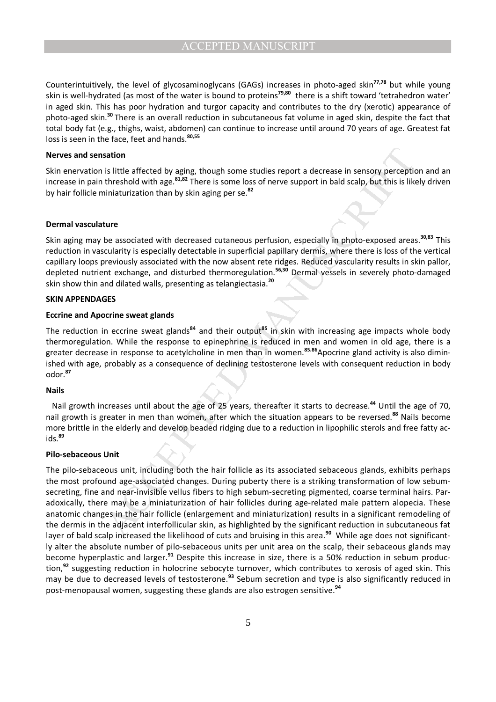Counterintuitively, the level of glycosaminoglycans (GAGs) increases in photo-aged skin**77,78** but while young skin is well-hydrated (as most of the water is bound to proteins**79,80** there is a shift toward 'tetrahedron water' in aged skin. This has poor hydration and turgor capacity and contributes to the dry (xerotic) appearance of photo-aged skin.**<sup>30</sup>**There is an overall reduction in subcutaneous fat volume in aged skin, despite the fact that total body fat (e.g., thighs, waist, abdomen) can continue to increase until around 70 years of age. Greatest fat loss is seen in the face, feet and hands.**80,55**

#### **Nerves and sensation**

Skin enervation is little affected by aging, though some studies report a decrease in sensory perception and an increase in pain threshold with age.**81,82** There is some loss of nerve support in bald scalp, but this is likely driven by hair follicle miniaturization than by skin aging per se.**<sup>82</sup>** 

#### **Dermal vasculature**

Skin aging may be associated with decreased cutaneous perfusion, especially in photo-exposed areas.**30,83** This reduction in vascularity is especially detectable in superficial papillary dermis, where there is loss of the vertical capillary loops previously associated with the now absent rete ridges. Reduced vascularity results in skin pallor, depleted nutrient exchange, and disturbed thermoregulation.**56,30** Dermal vessels in severely photo-damaged skin show thin and dilated walls, presenting as telangiectasia.**<sup>20</sup>**

#### **SKIN APPENDAGES**

#### **Eccrine and Apocrine sweat glands**

The reduction in eccrine sweat glands**<sup>84</sup>** and their output**<sup>85</sup>** in skin with increasing age impacts whole body thermoregulation. While the response to epinephrine is reduced in men and women in old age, there is a greater decrease in response to acetylcholine in men than in women.**85.86**Apocrine gland activity is also diminished with age, probably as a consequence of declining testosterone levels with consequent reduction in body odor.**<sup>87</sup>**

#### **Nails**

 Nail growth increases until about the age of 25 years, thereafter it starts to decrease.**<sup>44</sup>** Until the age of 70, nail growth is greater in men than women, after which the situation appears to be reversed.**<sup>88</sup>** Nails become more brittle in the elderly and develop beaded ridging due to a reduction in lipophilic sterols and free fatty acids.**<sup>89</sup>**

#### **Pilo-sebaceous Unit**

is little affected by aging, though some studies report a decrease in sensory perceptit<br>
is little affected by aging, though some studies report a decrease in sensory perceptit<br>
threeshold with age.<sup>81,82</sup> There is some lo The pilo-sebaceous unit, including both the hair follicle as its associated sebaceous glands, exhibits perhaps the most profound age-associated changes. During puberty there is a striking transformation of low sebumsecreting, fine and near-invisible vellus fibers to high sebum-secreting pigmented, coarse terminal hairs. Paradoxically, there may be a miniaturization of hair follicles during age-related male pattern alopecia. These anatomic changes in the hair follicle (enlargement and miniaturization) results in a significant remodeling of the dermis in the adjacent interfollicular skin, as highlighted by the significant reduction in subcutaneous fat layer of bald scalp increased the likelihood of cuts and bruising in this area.**<sup>90</sup>** While age does not significantly alter the absolute number of pilo-sebaceous units per unit area on the scalp, their sebaceous glands may become hyperplastic and larger.**<sup>91</sup>** Despite this increase in size, there is a 50% reduction in sebum production,**<sup>92</sup>** suggesting reduction in holocrine sebocyte turnover, which contributes to xerosis of aged skin. This may be due to decreased levels of testosterone.**<sup>93</sup>** Sebum secretion and type is also significantly reduced in post-menopausal women, suggesting these glands are also estrogen sensitive.**<sup>94</sup>**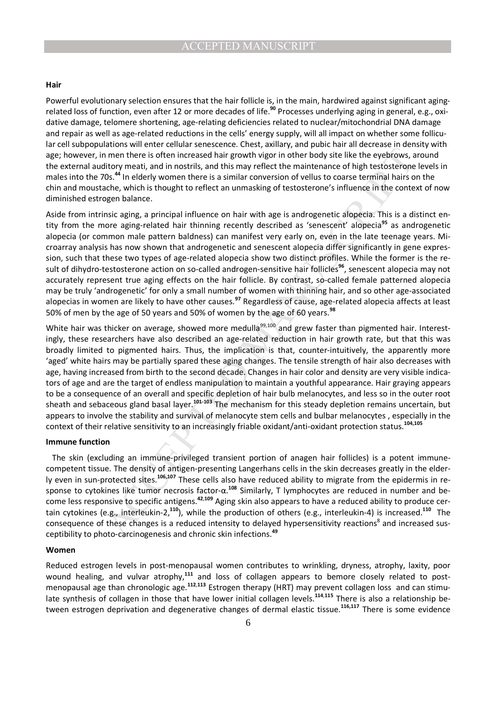#### **Hair**

Powerful evolutionary selection ensures that the hair follicle is, in the main, hardwired against significant agingrelated loss of function, even after 12 or more decades of life.**<sup>90</sup>** Processes underlying aging in general, e.g., oxidative damage, telomere shortening, age-relating deficiencies related to nuclear/mitochondrial DNA damage and repair as well as age-related reductions in the cells' energy supply, will all impact on whether some follicular cell subpopulations will enter cellular senescence. Chest, axillary, and pubic hair all decrease in density with age; however, in men there is often increased hair growth vigor in other body site like the eyebrows, around the external auditory meati, and in nostrils, and this may reflect the maintenance of high testosterone levels in males into the 70s.**<sup>44</sup>** In elderly women there is a similar conversion of vellus to coarse terminal hairs on the chin and moustache, which is thought to reflect an unmasking of testosterone's influence in the context of now diminished estrogen balance.

Aside from intrinsic aging, a principal influence on hair with age is androgenetic alopecia. This is a distinct entity from the more aging-related hair thinning recently described as 'senescent' alopecia**<sup>95</sup>** as androgenetic alopecia (or common male pattern baldness) can manifest very early on, even in the late teenage years. Microarray analysis has now shown that androgenetic and senescent alopecia differ significantly in gene expression, such that these two types of age-related alopecia show two distinct profiles. While the former is the result of dihydro-testosterone action on so-called androgen-sensitive hair follicles<sup>96</sup>, senescent alopecia may not accurately represent true aging effects on the hair follicle. By contrast, so-called female patterned alopecia may be truly 'androgenetic' for only a small number of women with thinning hair, and so other age-associated alopecias in women are likely to have other causes.**<sup>97</sup>** Regardless of cause, age-related alopecia affects at least 50% of men by the age of 50 years and 50% of women by the age of 60 years.**<sup>98</sup>**

noting that it considers three states that the state of the state of the state in the state in the performs, a<br>men there is often increased hair growth vigor in other body site like the eyebrows, a<br>flow ment there is often White hair was thicker on average, showed more medulla<sup>99,100</sup> and grew faster than pigmented hair. Interestingly, these researchers have also described an age-related reduction in hair growth rate, but that this was broadly limited to pigmented hairs. Thus, the implication is that, counter-intuitively, the apparently more 'aged' white hairs may be partially spared these aging changes. The tensile strength of hair also decreases with age, having increased from birth to the second decade. Changes in hair color and density are very visible indicators of age and are the target of endless manipulation to maintain a youthful appearance. Hair graying appears to be a consequence of an overall and specific depletion of hair bulb melanocytes, and less so in the outer root sheath and sebaceous gland basal layer.**101-103** The mechanism for this steady depletion remains uncertain, but appears to involve the stability and survival of melanocyte stem cells and bulbar melanocytes , especially in the context of their relative sensitivity to an increasingly friable oxidant/anti-oxidant protection status.**104,105**

#### **Immune function**

 The skin (excluding an immune-privileged transient portion of anagen hair follicles) is a potent immunecompetent tissue. The density of antigen-presenting Langerhans cells in the skin decreases greatly in the elderly even in sun-protected sites.**106,107** These cells also have reduced ability to migrate from the epidermis in response to cytokines like tumor necrosis factor-α.**<sup>108</sup>** Similarly, T lymphocytes are reduced in number and become less responsive to specific antigens.**<sup>42</sup>**,**<sup>109</sup>** Aging skin also appears to have a reduced ability to produce certain cytokines (e.g., interleukin-2,**<sup>110</sup>**), while the production of others (e.g., interleukin-4) is increased.**<sup>110</sup>** The consequence of these changes is a reduced intensity to delayed hypersensitivity reactions<sup>8</sup> and increased susceptibility to photo-carcinogenesis and chronic skin infections.**<sup>49</sup>**

#### **Women**

Reduced estrogen levels in post-menopausal women contributes to wrinkling, dryness, atrophy, laxity, poor wound healing, and vulvar atrophy,**<sup>111</sup>** and loss of collagen appears to bemore closely related to postmenopausal age than chronologic age.<sup>112,113</sup> Estrogen therapy (HRT) may prevent collagen loss and can stimulate synthesis of collagen in those that have lower initial collagen levels.**<sup>114</sup>**,**<sup>115</sup>** There is also a relationship between estrogen deprivation and degenerative changes of dermal elastic tissue.**116,117** There is some evidence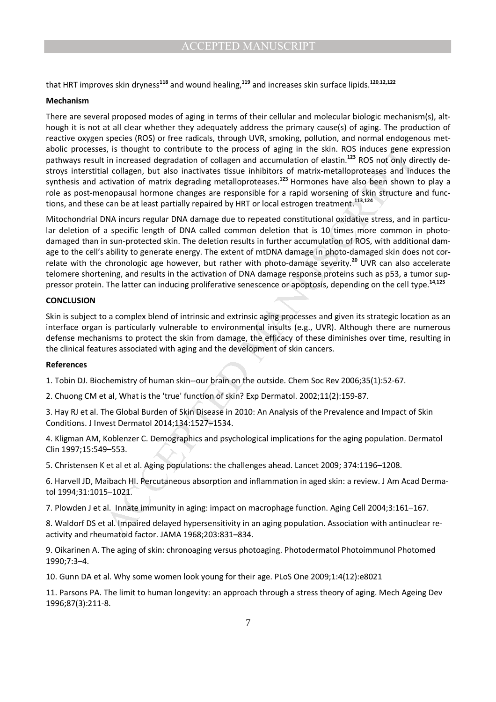that HRT improves skin dryness**<sup>118</sup>** and wound healing,**<sup>119</sup>** and increases skin surface lipids.**<sup>120</sup>**,**12,122**

#### **Mechanism**

There are several proposed modes of aging in terms of their cellular and molecular biologic mechanism(s), although it is not at all clear whether they adequately address the primary cause(s) of aging. The production of reactive oxygen species (ROS) or free radicals, through UVR, smoking, pollution, and normal endogenous metabolic processes, is thought to contribute to the process of aging in the skin. ROS induces gene expression pathways result in increased degradation of collagen and accumulation of elastin.**<sup>123</sup>** ROS not only directly destroys interstitial collagen, but also inactivates tissue inhibitors of matrix-metalloproteases and induces the synthesis and activation of matrix degrading metalloproteases.<sup>123</sup> Hormones have also been shown to play a role as post-menopausal hormone changes are responsible for a rapid worsening of skin structure and functions, and these can be at least partially repaired by HRT or local estrogen treatment.**<sup>113</sup>**,**<sup>124</sup>**

s, is thought to contribute to the process of aging in the skin. ROS induces gene controls in its increased degradation of collagen and accumulation of elastin,<sup>123</sup> ROS indo tyding all collagen, but also inactivates tissu Mitochondrial DNA incurs regular DNA damage due to repeated constitutional oxidative stress, and in particular deletion of a specific length of DNA called common deletion that is 10 times more common in photodamaged than in sun-protected skin. The deletion results in further accumulation of ROS, with additional damage to the cell's ability to generate energy. The extent of mtDNA damage in photo-damaged skin does not correlate with the chronologic age however, but rather with photo-damage severity.**<sup>20</sup>** UVR can also accelerate telomere shortening, and results in the activation of DNA damage response proteins such as p53, a tumor suppressor protein. The latter can inducing proliferative senescence or apoptosis, depending on the cell type. **14**,**125**

#### **CONCLUSION**

Skin is subject to a complex blend of intrinsic and extrinsic aging processes and given its strategic location as an interface organ is particularly vulnerable to environmental insults (e.g., UVR). Although there are numerous defense mechanisms to protect the skin from damage, the efficacy of these diminishes over time, resulting in the clinical features associated with aging and the development of skin cancers.

#### **References**

1. Tobin DJ. Biochemistry of human skin--our brain on the outside. Chem Soc Rev 2006;35(1):52-67.

2. Chuong CM et al, What is the 'true' function of skin? Exp Dermatol. 2002;11(2):159-87.

3. Hay RJ et al. The Global Burden of Skin Disease in 2010: An Analysis of the Prevalence and Impact of Skin Conditions. J Invest Dermatol 2014;134:1527–1534.

4. Kligman AM, Koblenzer C. Demographics and psychological implications for the aging population. Dermatol Clin 1997;15:549–553.

5. Christensen K et al et al. Aging populations: the challenges ahead. Lancet 2009; 374:1196–1208.

6. Harvell JD, Maibach HI. Percutaneous absorption and inflammation in aged skin: a review. J Am Acad Dermatol 1994;31:1015–1021.

7. Plowden J et al. Innate immunity in aging: impact on macrophage function. Aging Cell 2004;3:161–167.

8. Waldorf DS et al. Impaired delayed hypersensitivity in an aging population. Association with antinuclear reactivity and rheumatoid factor. JAMA 1968;203:831–834.

9. Oikarinen A. The aging of skin: chronoaging versus photoaging. Photodermatol Photoimmunol Photomed 1990;7:3–4.

10. Gunn DA et al. Why some women look young for their age. PLoS One 2009;1:4(12):e8021

11. Parsons PA. The limit to human longevity: an approach through a stress theory of aging. Mech Ageing Dev 1996;87(3):211-8.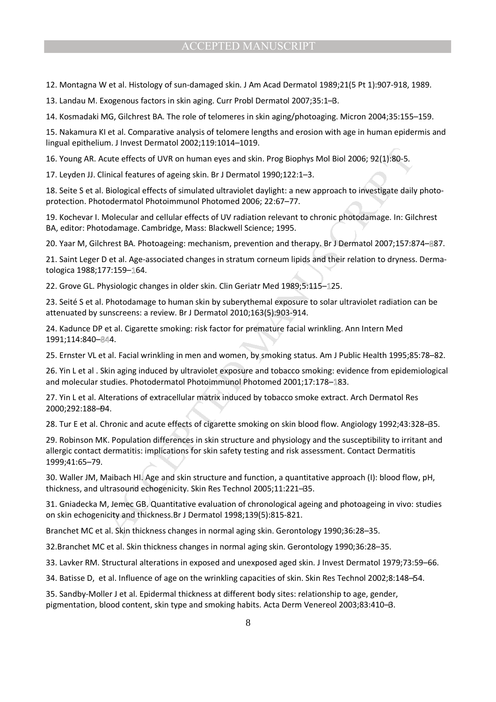12. Montagna W et al. Histology of sun-damaged skin. J Am Acad Dermatol 1989;21(5 Pt 1):907-918, 1989.

13. Landau M. Exogenous factors in skin aging. Curr Probl Dermatol 2007;35:1–3.

14. Kosmadaki MG, Gilchrest BA. The role of telomeres in skin aging/photoaging. Micron 2004;35:155–159.

15. Nakamura KI et al. Comparative analysis of telomere lengths and erosion with age in human epidermis and lingual epithelium. J Invest Dermatol 2002;119:1014–1019.

16. Young AR. Acute effects of UVR on human eyes and skin. Prog Biophys Mol Biol 2006; 92(1):80-5.

17. Leyden JJ. Clinical features of ageing skin. Br J Dermatol 1990;122:1–3.

18. Seite S et al. Biological effects of simulated ultraviolet daylight: a new approach to investigate daily photoprotection. Photodermatol Photoimmunol Photomed 2006; 22:67–77.

19. Kochevar I. Molecular and cellular effects of UV radiation relevant to chronic photodamage. In: Gilchrest BA, editor: Photodamage. Cambridge, Mass: Blackwell Science; 1995.

20. Yaar M, Gilchrest BA. Photoageing: mechanism, prevention and therapy. Br J Dermatol 2007;157:874– 87.

21. Saint Leger D et al. Age-associated changes in stratum corneum lipids and their relation to dryness. Dermatologica 1988;177:159-164.

22. Grove GL. Physiologic changes in older skin. Clin Geriatr Med 1989;5:115– 25.

23. Seité S et al. Photodamage to human skin by suberythemal exposure to solar ultraviolet radiation can be attenuated by sunscreens: a review. Br J Dermatol 2010;163(5):903-914.

24. Kadunce DP et al. Cigarette smoking: risk factor for premature facial wrinkling. Ann Intern Med 1991;114:840-844.

25. Ernster VL et al. Facial wrinkling in men and women, by smoking status. Am J Public Health 1995;85:78–82.

26. Yin L et al . Skin aging induced by ultraviolet exposure and tobacco smoking: evidence from epidemiological and molecular studies. Photodermatol Photoimmunol Photomed 2001;17:178-183.

27. Yin L et al. Alterations of extracellular matrix induced by tobacco smoke extract. Arch Dermatol Res 2000;292:188–94.

28. Tur E et al. Chronic and acute effects of cigarette smoking on skin blood flow. Angiology 1992;43:328–35.

cute effects of UVR on human eyes and skin. Prog Biophys Mol Biol 2006; 92(1):80-5.<br>
linical features of ageing skin. Br J Dermatol 1990;122:1–3.<br>
Biological effects of simulated ultraviolet daylight: a new approach to inv 29. Robinson MK. Population differences in skin structure and physiology and the susceptibility to irritant and allergic contact dermatitis: implications for skin safety testing and risk assessment. Contact Dermatitis 1999;41:65–79.

30. Waller JM, Maibach HI. Age and skin structure and function, a quantitative approach (I): blood flow, pH, thickness, and ultrasound echogenicity. Skin Res Technol 2005;11:221–35.

31. Gniadecka M, Jemec GB. Quantitative evaluation of chronological ageing and photoageing in vivo: studies on skin echogenicity and thickness.Br J Dermatol 1998;139(5):815-821.

Branchet MC et al. Skin thickness changes in normal aging skin. Gerontology 1990;36:28–35.

32.Branchet MC et al. Skin thickness changes in normal aging skin. Gerontology 1990;36:28–35.

33. Lavker RM. Structural alterations in exposed and unexposed aged skin. J Invest Dermatol 1979;73:59–66.

34. Batisse D, et al. Influence of age on the wrinkling capacities of skin. Skin Res Technol 2002;8:148–54.

35. Sandby-Moller J et al. Epidermal thickness at different body sites: relationship to age, gender, pigmentation, blood content, skin type and smoking habits. Acta Derm Venereol 2003;83:410–3.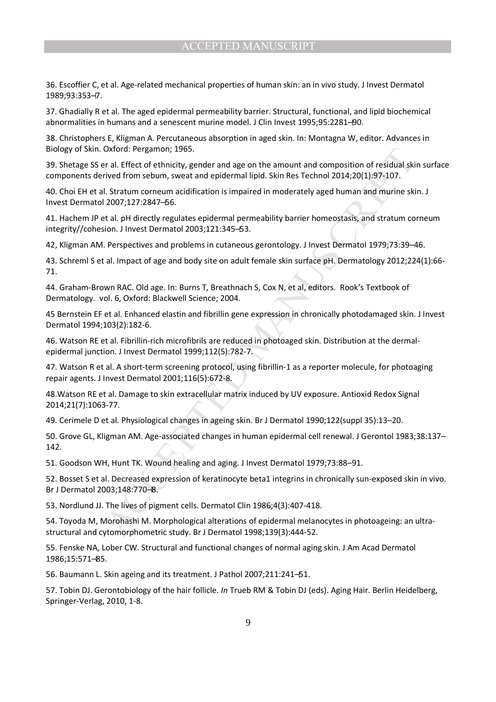36. Escoffier C, et al. Age-related mechanical properties of human skin: an in vivo study. J Invest Dermatol 1989;93:353–7.

37. Ghadially R et al. The aged epidermal permeability barrier. Structural, functional, and lipid biochemical abnormalities in humans and a senescent murine model. J Clin Invest 1995;95:2281–90.

38. Christophers E, Kligman A. Percutaneous absorption in aged skin. In: Montagna W, editor. Advances in Biology of Skin. Oxford: Pergamon; 1965.

Oxford: Pergamon; 1965.<br>
oxford: Pergamon; 1965.<br>
rela. Effect of ethnicity, gender and age on the amount and composition of residual ski<br>
rived from sebum, sweat and epidermal lipid. Skin Res Technol 2014;20(1):97-107.<br>
I 39. Shetage SS er al. Effect of ethnicity, gender and age on the amount and composition of residual skin surface components derived from sebum, sweat and epidermal lipid. Skin Res Technol 2014;20(1):97-107.

40. Choi EH et al. Stratum corneum acidification is impaired in moderately aged human and murine skin. J Invest Dermatol 2007;127:2847–56.

41. Hachem JP et al. pH directly regulates epidermal permeability barrier homeostasis, and stratum corneum integrity//cohesion. J Invest Dermatol 2003;121:345–53.

42, Kligman AM. Perspectives and problems in cutaneous gerontology. J Invest Dermatol 1979;73:39–46.

43. Schreml S et al. Impact of age and body site on adult female skin surface pH. Dermatology 2012;224(1):66- 71.

44. Graham-Brown RAC. Old age. In: Burns T, Breathnach S, Cox N, et al, editors. Rook's Textbook of Dermatology. vol. 6, Oxford: Blackwell Science; 2004.

45 Bernstein EF et al. Enhanced elastin and fibrillin gene expression in chronically photodamaged skin. J Invest Dermatol 1994;103(2):182-6.

46. Watson RE et al. Fibrillin-rich microfibrils are reduced in photoaged skin. Distribution at the dermalepidermal junction. J Invest Dermatol 1999;112(5):782-7.

47. Watson R et al. A short-term screening protocol, using fibrillin-1 as a reporter molecule, for photoaging repair agents. J Invest Dermatol 2001;116(5):672-8.

48.Watson RE et al. Damage to skin extracellular matrix induced by UV exposure. Antioxid Redox Signal 2014;21(7):1063-77.

49. Cerimele D et al. Physiological changes in ageing skin. Br J Dermatol 1990;122(suppl 35):13–20.

50. Grove GL, Kligman AM. Age-associated changes in human epidermal cell renewal. J Gerontol 1983;38:137– 142.

51. Goodson WH, Hunt TK. Wound healing and aging. J Invest Dermatol 1979;73:88–91.

52. Bosset S et al. Decreased expression of keratinocyte beta1 integrins in chronically sun-exposed skin in vivo. Br J Dermatol 2003;148:770–8.

53. Nordlund JJ. The lives of pigment cells. Dermatol Clin 1986;4(3):407-418.

54. Toyoda M, Morohashi M. Morphological alterations of epidermal melanocytes in photoageing: an ultrastructural and cytomorphometric study. Br J Dermatol 1998;139(3):444-52.

55. Fenske NA, Lober CW. Structural and functional changes of normal aging skin. J Am Acad Dermatol 1986;15:571–85.

56. Baumann L. Skin ageing and its treatment. J Pathol 2007;211:241–51.

57. Tobin DJ. Gerontobiology of the hair follicle. *In* Trueb RM & Tobin DJ (eds). Aging Hair. Berlin Heidelberg, Springer-Verlag, 2010, 1-8.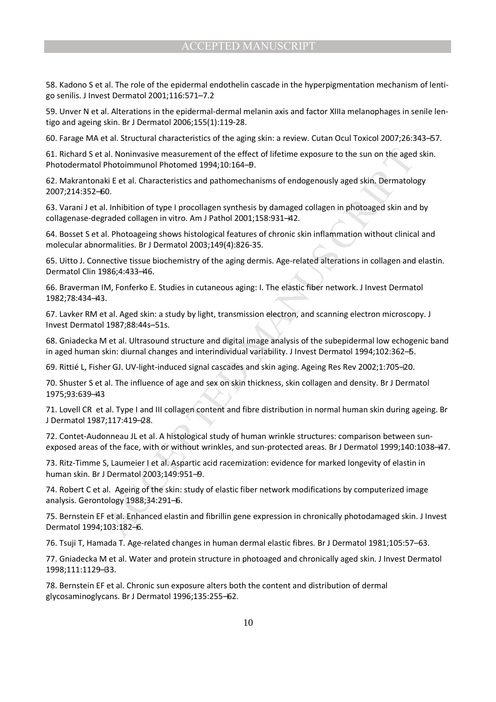58. Kadono S et al. The role of the epidermal endothelin cascade in the hyperpigmentation mechanism of lentigo senilis. J Invest Dermatol 2001;116:571–7.2

59. Unver N et al. Alterations in the epidermal-dermal melanin axis and factor XIIIa melanophages in senile lentigo and ageing skin. Br J Dermatol 2006;155(1):119-28.

60. Farage MA et al. Structural characteristics of the aging skin: a review. Cutan Ocul Toxicol 2007;26:343–57.

61. Richard S et al. Noninvasive measurement of the effect of lifetime exposure to the sun on the aged skin. Photodermatol Photoimmunol Photomed 1994;10:164–9.

62. Makrantonaki E et al. Characteristics and pathomechanisms of endogenously aged skin. Dermatology 2007;214:352–60.

al. Noninvasive measurement of the effect of lifetime exposure to the sun on the age<br>Photoimmunol Photomed 1994;10:164–9.<br>Wiki Et al. Characteristics and pathomechanisms of endogenously aged skin. Dermatolc<br>So.<br>Wiki Et al. 63. Varani J et al. Inhibition of type I procollagen synthesis by damaged collagen in photoaged skin and by collagenase-degraded collagen in vitro. Am J Pathol 2001;158:931–42.

64. Bosset S et al. Photoageing shows histological features of chronic skin inflammation without clinical and molecular abnormalities. Br J Dermatol 2003;149(4):826-35.

65. Uitto J. Connective tissue biochemistry of the aging dermis. Age-related alterations in collagen and elastin. Dermatol Clin 1986;4:433–46.

66. Braverman IM, Fonferko E. Studies in cutaneous aging: I. The elastic fiber network. J Invest Dermatol 1982;78:434–43.

67. Lavker RM et al. Aged skin: a study by light, transmission electron, and scanning electron microscopy. J Invest Dermatol 1987;88:44s–51s.

68. Gniadecka M et al. Ultrasound structure and digital image analysis of the subepidermal low echogenic band in aged human skin: diurnal changes and interindividual variability. J Invest Dermatol 1994;102:362–5.

69. Rittié L, Fisher GJ. UV-light-induced signal cascades and skin aging. Ageing Res Rev 2002;1:705–20.

70. Shuster S et al. The influence of age and sex on skin thickness, skin collagen and density. Br J Dermatol 1975;93:639–43

71. Lovell CR et al. Type I and III collagen content and fibre distribution in normal human skin during ageing. Br J Dermatol 1987;117:419–28.

72. Contet-Audonneau JL et al. A histological study of human wrinkle structures: comparison between sunexposed areas of the face, with or without wrinkles, and sun-protected areas. Br J Dermatol 1999;140:1038–47.

73. Ritz-Timme S, Laumeier I et al. Aspartic acid racemization: evidence for marked longevity of elastin in human skin. Br J Dermatol 2003;149:951–9.

74. Robert C et al. Ageing of the skin: study of elastic fiber network modifications by computerized image analysis. Gerontology 1988;34:291–6.

75. Bernstein EF et al. Enhanced elastin and fibrillin gene expression in chronically photodamaged skin. J Invest Dermatol 1994;103:182–6.

76. Tsuji T, Hamada T. Age-related changes in human dermal elastic fibres. Br J Dermatol 1981;105:57–63.

77. Gniadecka M et al. Water and protein structure in photoaged and chronically aged skin. J Invest Dermatol 1998;111:1129–33.

78. Bernstein EF et al. Chronic sun exposure alters both the content and distribution of dermal glycosaminoglycans. Br J Dermatol 1996;135:255–62.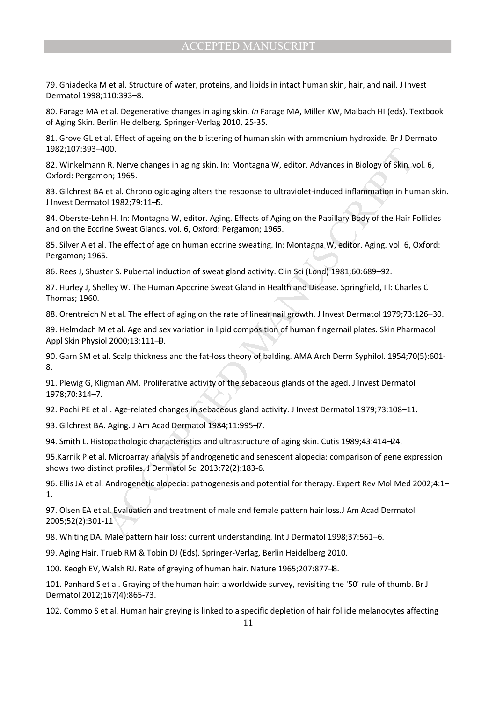79. Gniadecka M et al. Structure of water, proteins, and lipids in intact human skin, hair, and nail. J Invest Dermatol 1998;110:393–8.

80. Farage MA et al. Degenerative changes in aging skin. *In* Farage MA, Miller KW, Maibach HI (eds). Textbook of Aging Skin. Berlin Heidelberg. Springer-Verlag 2010, 25-35.

81. Grove GL et al. Effect of ageing on the blistering of human skin with ammonium hydroxide. Br J Dermatol 1982;107:393–400.

82. Winkelmann R. Nerve changes in aging skin. In: Montagna W, editor. Advances in Biology of Skin. vol. 6, Oxford: Pergamon; 1965.

83. Gilchrest BA et al. Chronologic aging alters the response to ultraviolet-induced inflammation in human skin. J Invest Dermatol 1982;79:11–5.

84. Oberste-Lehn H. In: Montagna W, editor. Aging. Effects of Aging on the Papillary Body of the Hair Follicles and on the Eccrine Sweat Glands. vol. 6, Oxford: Pergamon; 1965.

85. Silver A et al. The effect of age on human eccrine sweating. In: Montagna W, editor. Aging. vol. 6, Oxford: Pergamon; 1965.

86. Rees J, Shuster S. Pubertal induction of sweat gland activity. Clin Sci (Lond) 1981;60:689–92.

87. Hurley J, Shelley W. The Human Apocrine Sweat Gland in Health and Disease. Springfield, Ill: Charles C Thomas; 1960.

88. Orentreich N et al. The effect of aging on the rate of linear nail growth. J Invest Dermatol 1979;73:126–30.

100.<br>
100.<br>
10. N. Nerve changes in aging skin. In: Montagna W, editor. Advances in Biology of Skin. v<br>
10. 1965.<br>
10. 1965.<br>
10. 1962.79:11-5.<br>
10. 1982.79:11-5.<br>
10. 1982.79:11-5.<br>
11. In: Montagna W, editor. Aging. Effe 89. Helmdach M et al. Age and sex variation in lipid composition of human fingernail plates. Skin Pharmacol Appl Skin Physiol 2000;13:111–9.

90. Garn SM et al. Scalp thickness and the fat-loss theory of balding. AMA Arch Derm Syphilol. 1954;70(5):601- 8.

91. Plewig G, Kligman AM. Proliferative activity of the sebaceous glands of the aged. J Invest Dermatol 1978;70:314–7.

92. Pochi PE et al . Age-related changes in sebaceous gland activity. J Invest Dermatol 1979;73:108–11.

93. Gilchrest BA. Aging. J Am Acad Dermatol 1984;11:995–7.

94. Smith L. Histopathologic characteristics and ultrastructure of aging skin. Cutis 1989;43:414–24.

95.Karnik P et al. Microarray analysis of androgenetic and senescent alopecia: comparison of gene expression shows two distinct profiles. J Dermatol Sci 2013;72(2):183-6.

96. Ellis JA et al. Androgenetic alopecia: pathogenesis and potential for therapy. Expert Rev Mol Med 2002;4:1– 1.

97. Olsen EA et al. Evaluation and treatment of male and female pattern hair loss.J Am Acad Dermatol 2005;52(2):301-11

98. Whiting DA. Male pattern hair loss: current understanding. Int J Dermatol 1998;37:561–6.

99. Aging Hair. Trueb RM & Tobin DJ (Eds). Springer-Verlag, Berlin Heidelberg 2010.

100. Keogh EV, Walsh RJ. Rate of greying of human hair. Nature 1965;207:877–8.

101. Panhard S et al. Graying of the human hair: a worldwide survey, revisiting the '50' rule of thumb. Br J Dermatol 2012;167(4):865-73.

102. Commo S et al. Human hair greying is linked to a specific depletion of hair follicle melanocytes affecting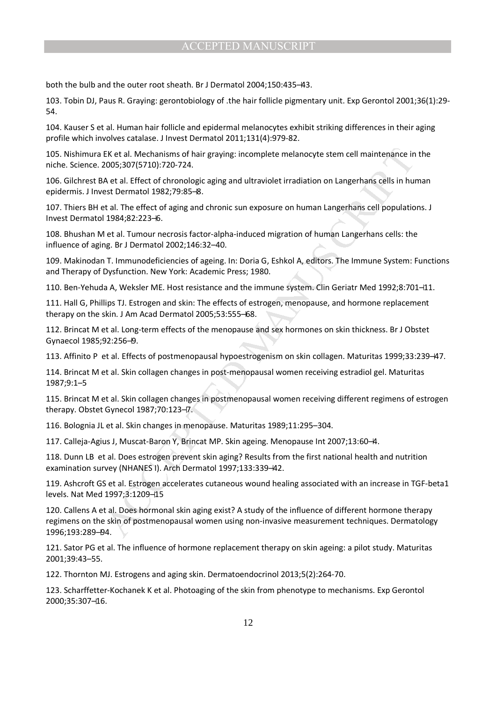both the bulb and the outer root sheath. Br J Dermatol 2004;150:435–43.

103. Tobin DJ, Paus R. Graying: gerontobiology of .the hair follicle pigmentary unit. Exp Gerontol 2001;36(1):29- 54.

104. Kauser S et al. Human hair follicle and epidermal melanocytes exhibit striking differences in their aging profile which involves catalase. J Invest Dermatol 2011;131(4):979-82.

105. Nishimura EK et al. Mechanisms of hair graying: incomplete melanocyte stem cell maintenance in the niche. Science. 2005;307(5710):720-724.

106. Gilchrest BA et al. Effect of chronologic aging and ultraviolet irradiation on Langerhans cells in human epidermis. J Invest Dermatol 1982;79:85–8.

107. Thiers BH et al. The effect of aging and chronic sun exposure on human Langerhans cell populations. J Invest Dermatol 1984;82:223–6.

108. Bhushan M et al. Tumour necrosis factor-alpha-induced migration of human Langerhans cells: the influence of aging. Br J Dermatol 2002;146:32–40.

109. Makinodan T. Immunodeficiencies of ageing. In: Doria G, Eshkol A, editors. The Immune System: Functions and Therapy of Dysfunction. New York: Academic Press; 1980.

110. Ben-Yehuda A, Weksler ME. Host resistance and the immune system. Clin Geriatr Med 1992;8:701–11.

111. Hall G, Phillips TJ. Estrogen and skin: The effects of estrogen, menopause, and hormone replacement therapy on the skin. J Am Acad Dermatol 2005;53:555–68.

112. Brincat M et al. Long-term effects of the menopause and sex hormones on skin thickness. Br J Obstet Gynaecol 1985;92:256–9.

113. Affinito P et al. Effects of postmenopausal hypoestrogenism on skin collagen. Maturitas 1999;33:239–47.

114. Brincat M et al. Skin collagen changes in post-menopausal women receiving estradiol gel. Maturitas 1987;9:1–5

115. Brincat M et al. Skin collagen changes in postmenopausal women receiving different regimens of estrogen therapy. Obstet Gynecol 1987;70:123–7.

116. Bolognia JL et al. Skin changes in menopause. Maturitas 1989;11:295–304.

117. Calleja-Agius J, Muscat-Baron Y, Brincat MP. Skin ageing. Menopause Int 2007;13:60–4.

118. Dunn LB et al. Does estrogen prevent skin aging? Results from the first national health and nutrition examination survey (NHANES I). Arch Dermatol 1997;133:339–42.

119. Ashcroft GS et al. Estrogen accelerates cutaneous wound healing associated with an increase in TGF-beta1 levels. Nat Med 1997;3:1209–15

EK et al. Mechanisms of hair graying: incomplete melanocyte stem cell maintenance in<br>2005;307(5710):720-724.<br>Act al. Effect of chronologic aging and ultraviolet irradiation on Langerhans cells in hui<br>est Dermatol 1982;79:8 120. Callens A et al. Does hormonal skin aging exist? A study of the influence of different hormone therapy regimens on the skin of postmenopausal women using non-invasive measurement techniques. Dermatology 1996;193:289–94.

121. Sator PG et al. The influence of hormone replacement therapy on skin ageing: a pilot study. Maturitas 2001;39:43–55.

122. Thornton MJ. Estrogens and aging skin. Dermatoendocrinol 2013;5(2):264-70.

123. Scharffetter-Kochanek K et al. Photoaging of the skin from phenotype to mechanisms. Exp Gerontol 2000;35:307–16.